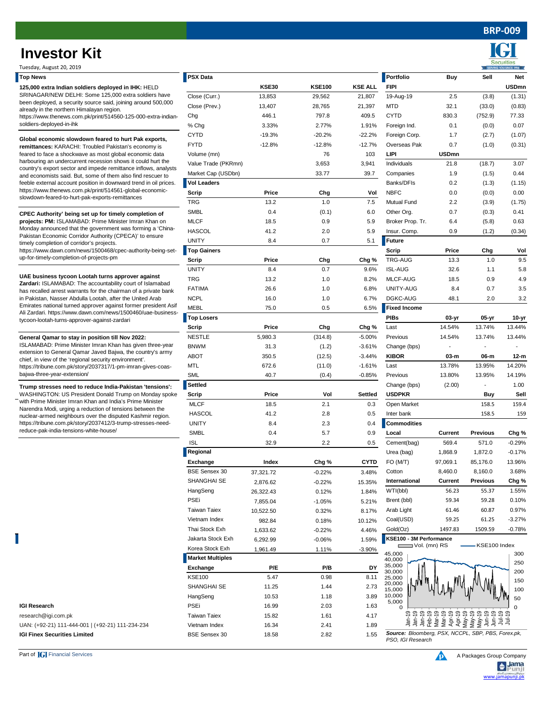**BRP-009**

Securiti

**KSE30 KSE100 KSE ALL FIPI USDmn**

## **Investor Kit**

Tuesday, August 20, 2019

| <b>Top News</b> | PSX Data | Portfolio | Buv | Sell | Net |
|-----------------|----------|-----------|-----|------|-----|
|-----------------|----------|-----------|-----|------|-----|

**125,000 extra Indian soldiers deployed in IHK:** HELD SRINAGAR/NEW DELHI: Some 125,000 extra soldi been deployed, a security source said, joining around already in the northern Himalayan region. https://www.thenews.com.pk/print/514560-125-000-e

| SRINAGAR/NEW DELHI: Some 125,000 extra soldiers have                                                                                                                         | Close (Curr.)           | 13,853    | 29,562   | 21,807      | 19-Aug-19                                          | 2.5          | (3.8)           | (1.31)   |
|------------------------------------------------------------------------------------------------------------------------------------------------------------------------------|-------------------------|-----------|----------|-------------|----------------------------------------------------|--------------|-----------------|----------|
| been deployed, a security source said, joining around 500,000                                                                                                                | Close (Prev.)           | 13,407    | 28,765   | 21,397      | <b>MTD</b>                                         | 32.1         | (33.0)          | (0.83)   |
| already in the northern Himalayan region.<br>https://www.thenews.com.pk/print/514560-125-000-extra-indian-                                                                   | Chg                     | 446.1     | 797.8    | 409.5       | <b>CYTD</b>                                        | 830.3        | (752.9)         | 77.33    |
| soldiers-deployed-in-ihk                                                                                                                                                     | % Chg                   | 3.33%     | 2.77%    | 1.91%       | Foreign Ind.                                       | 0.1          | (0.0)           | 0.07     |
|                                                                                                                                                                              | <b>CYTD</b>             | $-19.3%$  | $-20.2%$ | $-22.2%$    | Foreign Corp.                                      | 1.7          | (2.7)           | (1.07)   |
| Global economic slowdown feared to hurt Pak exports,<br>remittances: KARACHI: Troubled Pakistan's economy is                                                                 | FYTD                    | $-12.8%$  | $-12.8%$ | $-12.7%$    | Overseas Pak                                       | 0.7          | (1.0)           | (0.31)   |
| feared to face a shockwave as most global economic data                                                                                                                      | Volume (mn)             |           | 76       | 103         | LIPI                                               | <b>USDmn</b> |                 |          |
| harbouring an undercurrent recession shows it could hurt the                                                                                                                 | Value Trade (PKRmn)     |           | 3,653    | 3,941       | Individuals                                        | 21.8         | (18.7)          | 3.07     |
| country's export sector and impede remittance inflows, analysts                                                                                                              | Market Cap (USDbn)      |           | 33.77    | 39.7        | Companies                                          | 1.9          | (1.5)           | 0.44     |
| and economists said. But, some of them also find rescuer to<br>feeble external account position in downward trend in oil prices.                                             | <b>Vol Leaders</b>      |           |          |             | Banks/DFIs                                         | 0.2          | (1.3)           | (1.15)   |
| https://www.thenews.com.pk/print/514561-global-economic-                                                                                                                     |                         | Price     | Chg      | Vol         | <b>NBFC</b>                                        | 0.0          | (0.0)           | 0.00     |
| slowdown-feared-to-hurt-pak-exports-remittances                                                                                                                              | Scrip<br><b>TRG</b>     | 13.2      | 1.0      | 7.5         | Mutual Fund                                        | 2.2          |                 |          |
|                                                                                                                                                                              |                         |           |          |             |                                                    |              | (3.9)           | (1.75)   |
| CPEC Authority' being set up for timely completion of<br>projects: PM: ISLAMABAD: Prime Minister Imran Khan on<br>Monday announced that the government was forming a 'China- | <b>SMBL</b>             | 0.4       | (0.1)    | 6.0         | Other Org.                                         | 0.7          | (0.3)           | 0.41     |
|                                                                                                                                                                              | <b>MLCF</b>             | 18.5      | 0.9      | 5.9         | Broker Prop. Tr.                                   | 6.4          | (5.8)           | 0.63     |
| Pakistan Economic Corridor Authority (CPECA)' to ensure                                                                                                                      | <b>HASCOL</b>           | 41.2      | 2.0      | 5.9         | Insur. Comp.                                       | 0.9          | (1.2)           | (0.34)   |
| timely completion of corridor's projects.                                                                                                                                    | <b>UNITY</b>            | 8.4       | 0.7      | 5.1         | Future                                             |              |                 |          |
| https://www.dawn.com/news/1500468/cpec-authority-being-set-                                                                                                                  | <b>Top Gainers</b>      |           |          |             | <b>Scrip</b>                                       | Price        | Chg             | Vol      |
| up-for-timely-completion-of-projects-pm                                                                                                                                      | Scrip                   | Price     | Chg      | Chg %       | TRG-AUG                                            | 13.3         | 1.0             | 9.5      |
| UAE business tycoon Lootah turns approver against                                                                                                                            | <b>UNITY</b>            | 8.4       | 0.7      | 9.6%        | <b>ISL-AUG</b>                                     | 32.6         | 1.1             | 5.8      |
| Zardari: ISLAMABAD: The accountability court of Islamabad                                                                                                                    | <b>TRG</b>              | 13.2      | 1.0      | 8.2%        | MLCF-AUG                                           | 18.5         | 0.9             | 4.9      |
| has recalled arrest warrants for the chairman of a private bank                                                                                                              | FATIMA                  | 26.6      | 1.0      | 6.8%        | UNITY-AUG                                          | 8.4          | 0.7             | 3.5      |
| in Pakistan, Nasser Abdulla Lootah, after the United Arab                                                                                                                    | <b>NCPL</b>             | 16.0      | 1.0      | 6.7%        | DGKC-AUG                                           | 48.1         | 2.0             | 3.2      |
| Emirates national turned approver against former president Asif                                                                                                              | <b>MEBL</b>             | 75.0      | 0.5      | 6.5%        | <b>Fixed Income</b>                                |              |                 |          |
| Ali Zardari. https://www.dawn.com/news/1500460/uae-business-<br>tycoon-lootah-turns-approver-against-zardari                                                                 | <b>Top Losers</b>       |           |          |             | <b>PIBs</b>                                        | 03-yr        | 05-yr           | 10-yr    |
|                                                                                                                                                                              | Scrip                   | Price     | Chg      | Chg %       | Last                                               | 14.54%       | 13.74%          | 13.44%   |
| General Qamar to stay in position till Nov 2022:                                                                                                                             | <b>NESTLE</b>           | 5,980.3   | (314.8)  | $-5.00%$    | Previous                                           | 14.54%       | 13.74%          | 13.44%   |
| ISLAMABAD: Prime Minister Imran Khan has given three-year                                                                                                                    | <b>BNWM</b>             | 31.3      | (1.2)    | $-3.61%$    | Change (bps)                                       |              |                 |          |
| extension to General Qamar Javed Bajwa, the country's army<br>chief, in view of the 'regional security environment'.                                                         | <b>ABOT</b>             | 350.5     | (12.5)   | $-3.44%$    | <b>KIBOR</b>                                       | 03-m         | 06-m            | 12-m     |
| https://tribune.com.pk/story/2037317/1-pm-imran-gives-coas-                                                                                                                  | <b>MTL</b>              | 672.6     | (11.0)   | $-1.61%$    | Last                                               | 13.78%       | 13.95%          | 14.20%   |
| bajwa-three-year-extension/                                                                                                                                                  | <b>SML</b>              | 40.7      | (0.4)    | $-0.85%$    | Previous                                           | 13.80%       | 13.95%          | 14.19%   |
| Trump stresses need to reduce India-Pakistan 'tensions':                                                                                                                     | Settled                 |           |          |             | Change (bps)                                       | (2.00)       | $\blacksquare$  | 1.00     |
| WASHINGTON: US President Donald Trump on Monday spoke                                                                                                                        | <b>Scrip</b>            | Price     | Vol      | Settled     | <b>USDPKR</b>                                      |              | Buy             | Sell     |
| with Prime Minister Imran Khan and India's Prime Minister                                                                                                                    | <b>MLCF</b>             | 18.5      | 2.1      | 0.3         | Open Market                                        |              | 158.5           | 159.4    |
| Narendra Modi, urging a reduction of tensions between the<br>nuclear-armed neighbours over the disputed Kashmir region.                                                      | <b>HASCOL</b>           | 41.2      | 2.8      | 0.5         | Inter bank                                         |              | 158.5           | 159      |
| https://tribune.com.pk/story/2037412/3-trump-stresses-need-                                                                                                                  | UNITY                   | 8.4       | 2.3      | 0.4         | <b>Commodities</b>                                 |              |                 |          |
| reduce-pak-india-tensions-white-house/                                                                                                                                       | <b>SMBL</b>             | 0.4       | 5.7      | 0.9         | Local                                              | Current      | <b>Previous</b> | Chg %    |
|                                                                                                                                                                              | <b>ISL</b>              | 32.9      | 2.2      | 0.5         | Cement(bag)                                        | 569.4        | 571.0           | $-0.29%$ |
|                                                                                                                                                                              | Regional                |           |          |             | Urea (bag)                                         | 1,868.9      | 1,872.0         | $-0.17%$ |
|                                                                                                                                                                              | Exchange                | Index     | Chg %    | <b>CYTD</b> | FO(M/T)                                            | 97,069.1     | 85,176.0        | 13.96%   |
|                                                                                                                                                                              | <b>BSE Sensex 30</b>    | 37,321.72 | $-0.22%$ | 3.48%       | Cotton                                             | 8,460.0      | 8,160.0         | 3.68%    |
|                                                                                                                                                                              | SHANGHAI SE             | 2,876.62  | $-0.22%$ | 15.35%      | International                                      | Current      | <b>Previous</b> | Chg %    |
|                                                                                                                                                                              | HangSeng                |           | 0.12%    | 1.84%       | WTI(bbl)                                           | 56.23        | 55.37           | 1.55%    |
|                                                                                                                                                                              | PSEi                    | 26,322.43 |          |             | Brent (bbl)                                        | 59.34        | 59.28           | 0.10%    |
|                                                                                                                                                                              | <b>Taiwan Taiex</b>     | 7,855.04  | $-1.05%$ | 5.21%       |                                                    |              |                 |          |
|                                                                                                                                                                              |                         | 10,522.50 | 0.32%    | 8.17%       | Arab Light                                         | 61.46        | 60.87           | 0.97%    |
|                                                                                                                                                                              | Vietnam Index           | 982.84    | 0.18%    | 10.12%      | Coal(USD)                                          | 59.25        | 61.25           | $-3.27%$ |
|                                                                                                                                                                              | Thai Stock Exh          | 1,633.62  | $-0.22%$ | 4.46%       | Gold(Oz)                                           | 1497.83      | 1509.59         | $-0.78%$ |
|                                                                                                                                                                              | Jakarta Stock Exh       | 6,292.99  | $-0.06%$ | 1.59%       | KSE100 - 3M Performance<br>$\Box$ Vol. (mn) RS     |              | KSE100 Index    |          |
|                                                                                                                                                                              | Korea Stock Exh         | 1,961.49  | 1.11%    | $-3.90%$    | 45,000                                             |              |                 | 300      |
|                                                                                                                                                                              | <b>Market Multiples</b> |           |          |             | 40,000                                             |              |                 | 250      |
|                                                                                                                                                                              | <b>Exchange</b>         | P/E       | P/B      | DY          | 35,000<br>30,000                                   |              |                 | 200      |
|                                                                                                                                                                              | <b>KSE100</b>           | 5.47      | 0.98     | 8.11        | 25,000<br>20,000                                   |              |                 | 150      |
|                                                                                                                                                                              | SHANGHAI SE             | 11.25     | 1.44     | 2.73        | 15,000                                             |              |                 | 100      |
|                                                                                                                                                                              | HangSeng                | 10.53     | 1.18     | 3.89        | 10,000<br>5,000                                    |              |                 | 50       |
| <b>IGI Research</b>                                                                                                                                                          | PSEi                    | 16.99     | 2.03     | 1.63        |                                                    |              |                 | 0        |
| research@igi.com.pk                                                                                                                                                          | <b>Taiwan Taiex</b>     | 15.82     | 1.61     | 4.17        |                                                    |              |                 |          |
| UAN: (+92-21) 111-444-001   (+92-21) 111-234-234                                                                                                                             | Vietnam Index           | 16.34     | 2.41     | 1.89        |                                                    |              |                 |          |
| <b>IGI Finex Securities Limited</b>                                                                                                                                          | <b>BSE Sensex 30</b>    | 18.58     | 2.82     | 1.55        | Source: Bloomberg, PSX, NCCPL, SBP, PBS, Forex.pk, |              |                 |          |



Part of  $\int \int$  Financial Services A Packages Group Company www.jamapunji.pk